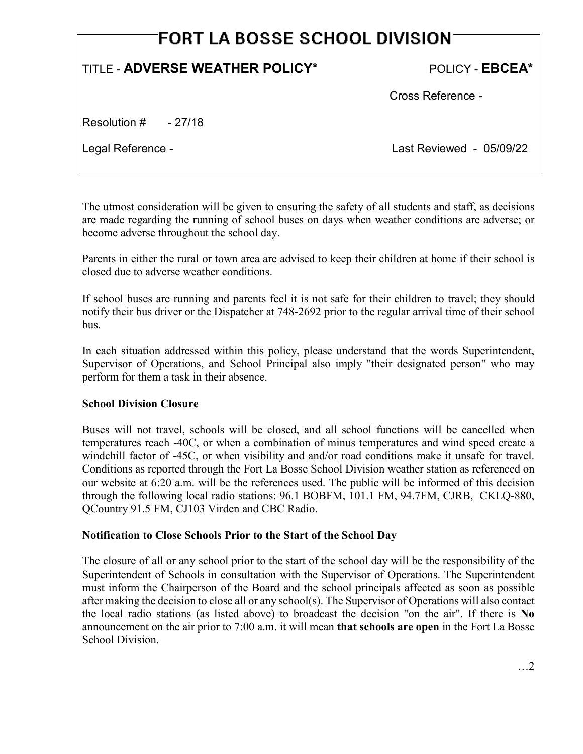# **FORT LA BOSSE SCHOOL DIVISION**

# TITLE - **ADVERSE WEATHER POLICY\*** POLICY - **EBCEA\***

Cross Reference -

Resolution # - 27/18

Legal Reference - Last Reviewed - 05/09/22

The utmost consideration will be given to ensuring the safety of all students and staff, as decisions are made regarding the running of school buses on days when weather conditions are adverse; or become adverse throughout the school day.

Parents in either the rural or town area are advised to keep their children at home if their school is closed due to adverse weather conditions.

If school buses are running and parents feel it is not safe for their children to travel; they should notify their bus driver or the Dispatcher at 748-2692 prior to the regular arrival time of their school bus.

In each situation addressed within this policy, please understand that the words Superintendent, Supervisor of Operations, and School Principal also imply "their designated person" who may perform for them a task in their absence.

# **School Division Closure**

Buses will not travel, schools will be closed, and all school functions will be cancelled when temperatures reach -40C, or when a combination of minus temperatures and wind speed create a windchill factor of -45C, or when visibility and and/or road conditions make it unsafe for travel. Conditions as reported through the Fort La Bosse School Division weather station as referenced on our website at 6:20 a.m. will be the references used. The public will be informed of this decision through the following local radio stations: 96.1 BOBFM, 101.1 FM, 94.7FM, CJRB, CKLQ-880, QCountry 91.5 FM, CJ103 Virden and CBC Radio.

# **Notification to Close Schools Prior to the Start of the School Day**

The closure of all or any school prior to the start of the school day will be the responsibility of the Superintendent of Schools in consultation with the Supervisor of Operations. The Superintendent must inform the Chairperson of the Board and the school principals affected as soon as possible after making the decision to close all or any school(s). The Supervisor of Operations will also contact the local radio stations (as listed above) to broadcast the decision "on the air". If there is **No** announcement on the air prior to 7:00 a.m. it will mean **that schools are open** in the Fort La Bosse School Division.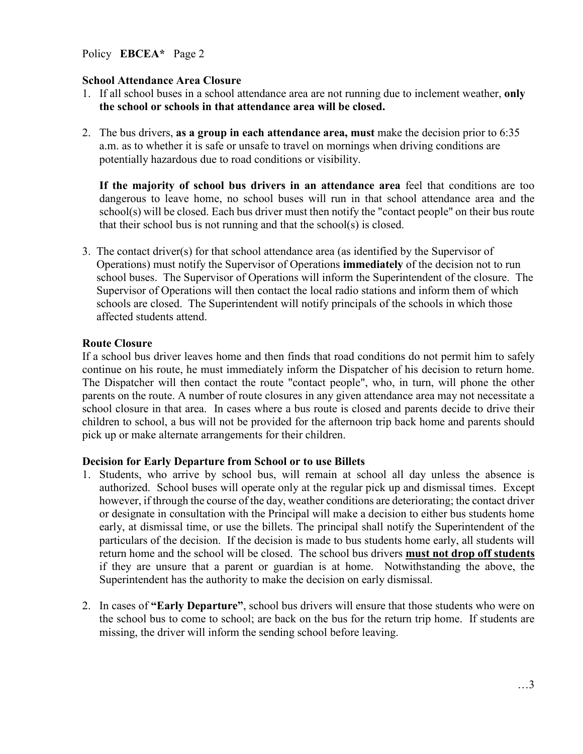Policy **EBCEA\*** Page 2

#### **School Attendance Area Closure**

- 1. If all school buses in a school attendance area are not running due to inclement weather, **only the school or schools in that attendance area will be closed.**
- 2. The bus drivers, **as a group in each attendance area, must** make the decision prior to 6:35 a.m. as to whether it is safe or unsafe to travel on mornings when driving conditions are potentially hazardous due to road conditions or visibility.

 **If the majority of school bus drivers in an attendance area** feel that conditions are too dangerous to leave home, no school buses will run in that school attendance area and the school(s) will be closed. Each bus driver must then notify the "contact people" on their bus route that their school bus is not running and that the school(s) is closed.

3. The contact driver(s) for that school attendance area (as identified by the Supervisor of Operations) must notify the Supervisor of Operations **immediately** of the decision not to run school buses. The Supervisor of Operations will inform the Superintendent of the closure. The Supervisor of Operations will then contact the local radio stations and inform them of which schools are closed. The Superintendent will notify principals of the schools in which those affected students attend.

#### **Route Closure**

If a school bus driver leaves home and then finds that road conditions do not permit him to safely continue on his route, he must immediately inform the Dispatcher of his decision to return home. The Dispatcher will then contact the route "contact people", who, in turn, will phone the other parents on the route. A number of route closures in any given attendance area may not necessitate a school closure in that area. In cases where a bus route is closed and parents decide to drive their children to school, a bus will not be provided for the afternoon trip back home and parents should pick up or make alternate arrangements for their children.

#### **Decision for Early Departure from School or to use Billets**

- 1. Students, who arrive by school bus, will remain at school all day unless the absence is authorized. School buses will operate only at the regular pick up and dismissal times. Except however, if through the course of the day, weather conditions are deteriorating; the contact driver or designate in consultation with the Principal will make a decision to either bus students home early, at dismissal time, or use the billets. The principal shall notify the Superintendent of the particulars of the decision. If the decision is made to bus students home early, all students will return home and the school will be closed. The school bus drivers **must not drop off students** if they are unsure that a parent or guardian is at home. Notwithstanding the above, the Superintendent has the authority to make the decision on early dismissal.
- 2. In cases of **"Early Departure"**, school bus drivers will ensure that those students who were on the school bus to come to school; are back on the bus for the return trip home. If students are missing, the driver will inform the sending school before leaving.